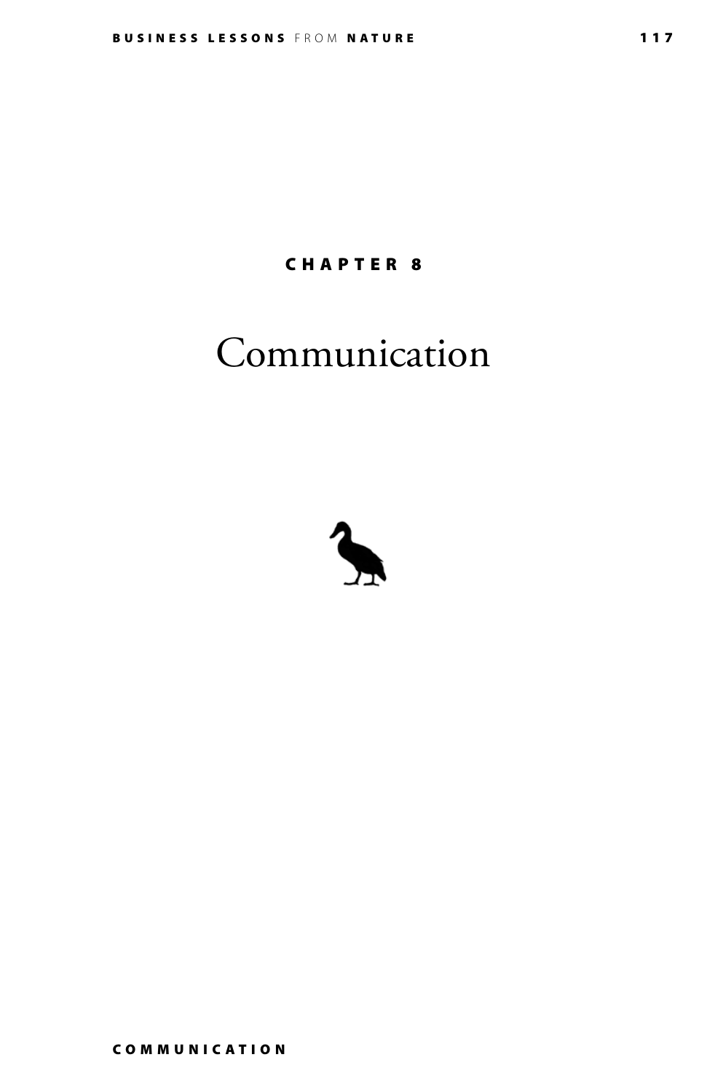## C H A P T E R 8

## Communication

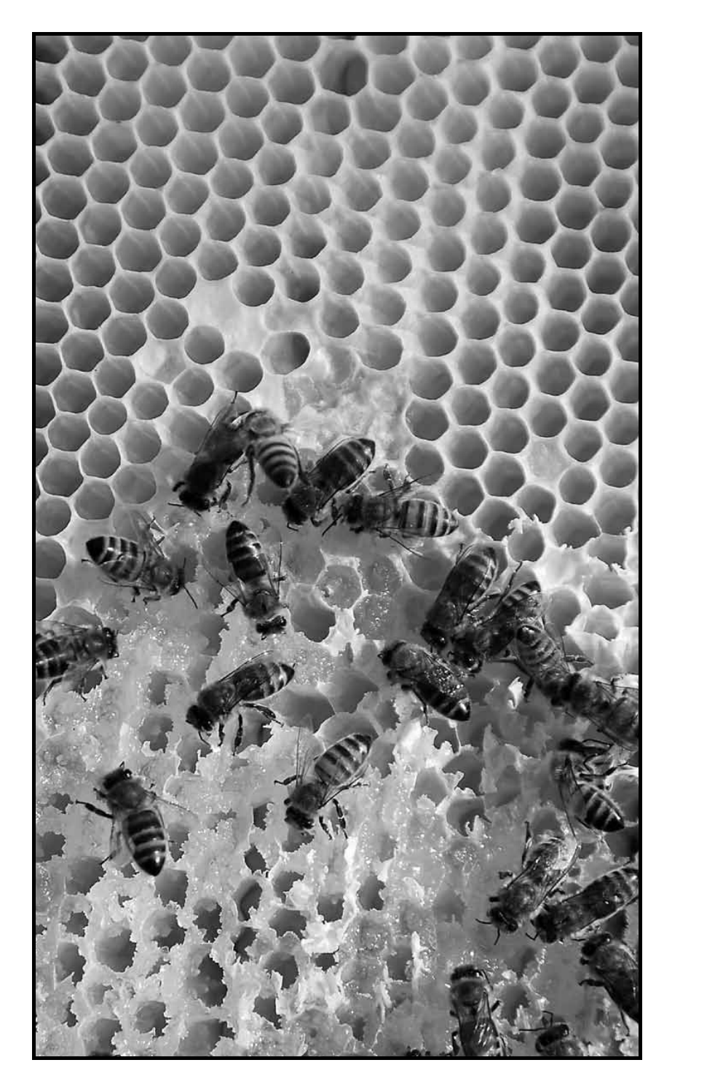